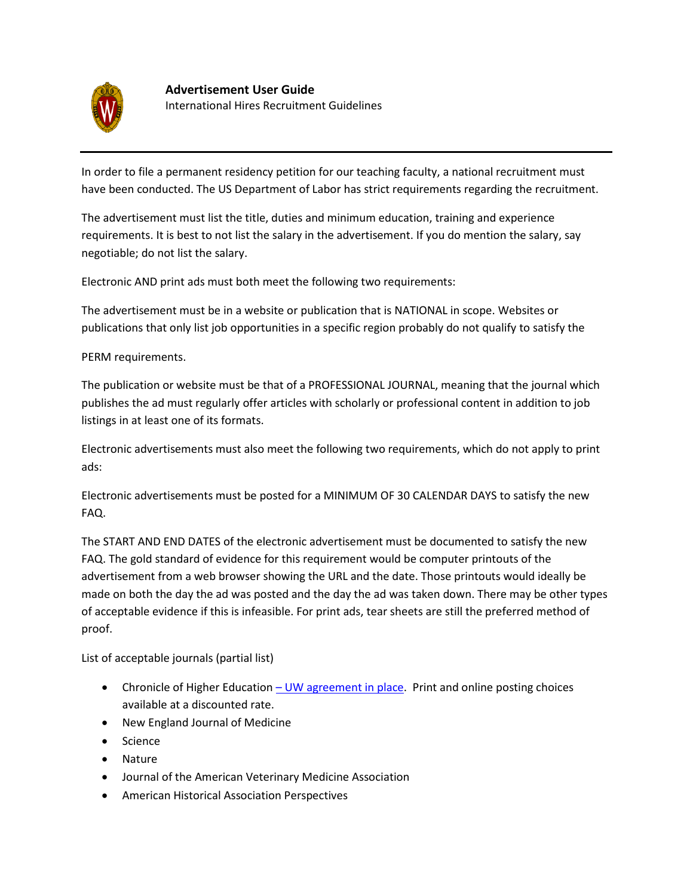

In order to file a permanent residency petition for our teaching faculty, a national recruitment must have been conducted. The US Department of Labor has strict requirements regarding the recruitment.

The advertisement must list the title, duties and minimum education, training and experience requirements. It is best to not list the salary in the advertisement. If you do mention the salary, say negotiable; do not list the salary.

Electronic AND print ads must both meet the following two requirements:

The advertisement must be in a website or publication that is NATIONAL in scope. Websites or publications that only list job opportunities in a specific region probably do not qualify to satisfy the

PERM requirements.

The publication or website must be that of a PROFESSIONAL JOURNAL, meaning that the journal which publishes the ad must regularly offer articles with scholarly or professional content in addition to job listings in at least one of its formats.

Electronic advertisements must also meet the following two requirements, which do not apply to print ads:

Electronic advertisements must be posted for a MINIMUM OF 30 CALENDAR DAYS to satisfy the new FAQ.

The START AND END DATES of the electronic advertisement must be documented to satisfy the new FAQ. The gold standard of evidence for this requirement would be computer printouts of the advertisement from a web browser showing the URL and the date. Those printouts would ideally be made on both the day the ad was posted and the day the ad was taken down. There may be other types of acceptable evidence if this is infeasible. For print ads, tear sheets are still the preferred method of proof.

List of acceptable journals (partial list)

- Chronicle of Higher Education  $-$  [UW agreement in place.](https://recruitment.wisc.edu/RecruitmentHelp/AdvertisementAgreements/tabid/69/Default.aspx) Print and online posting choices available at a discounted rate.
- New England Journal of Medicine
- Science
- Nature
- Journal of the American Veterinary Medicine Association
- American Historical Association Perspectives